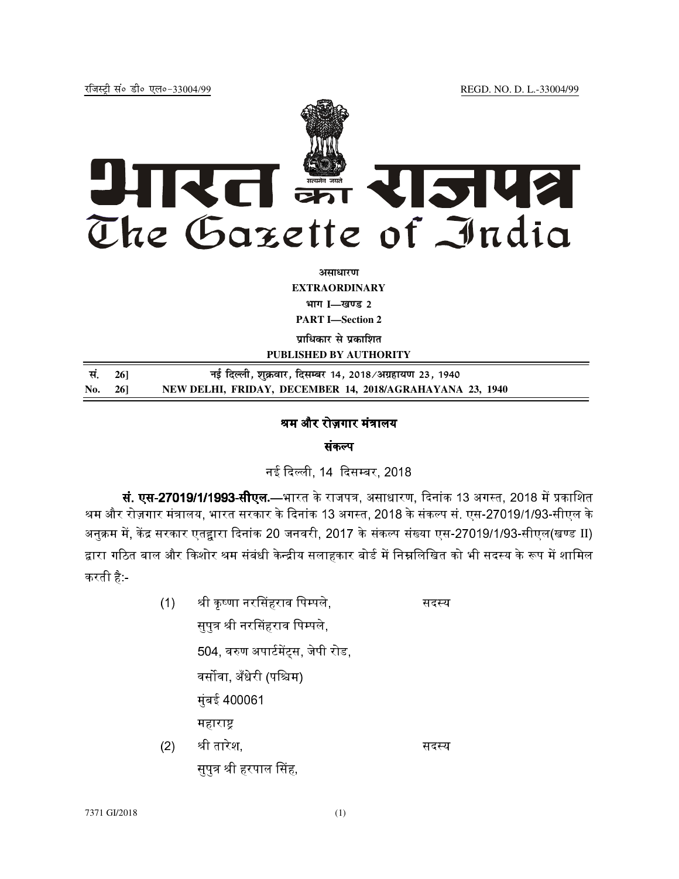

अ**साधार**ण **EXTRAORDINARY Hkkx I—[k.M 2 PART I—Section 2** 

**प्राधिकार से प्रकाशित** 

**PUBLISHED BY AUTHORITY**

| सं. 261 | नई दिल्ली, शुक्रवार, दिसम्बर 14, 2018/अग्रहायण 23, 1940  |
|---------|----------------------------------------------------------|
| No. 26] | NEW DELHI, FRIDAY, DECEMBER 14, 2018/AGRAHAYANA 23, 1940 |

## श्रम और रोज़गार मंत्रालय 1

## संकल्प

नई दिल्ली 14 दिसम्बर 2018.

**सं. एस-27019/1/1993-सीएल.**—भारत के राजपत्र, असाधारण, दिनांक 13 अगस्त, 2018 में प्रकाशित श्रम और रोज़गार मंत्रालय. भारत सरकार के दिनांक 13 अगस्त. 2018 के संकल्प सं. एस-27019/1/93-सीएल के अनुक्रम में, केंद्र सरकार एतद्वारा दिनांक 20 जनवरी, 2017 के संकल्प संख्या एस-27019/1/93-सीएल(खण्ड II) द्वारा गठित बाल और किशोर श्रम संबंधी केन्द्रीय सलाहकार बोर्ड में निम्नलिखित को भी सदस्य के रूप में शामिल करती है:-

(1) श्री कष्णा नरसिंहराव पिम्पले. स सदस्य सपत्र श्री नरसिंहराव पिम्पले. 504. वरुण अपार्टमेंटस. जेपी रोड.. े वर्सोवा अँधेरी (पश्चिम) मुंबई 400061 महाराष्ट्र  $(2)$  श्री तारेश, सदस्य ्तर संस्कृत का संस्कृत करने हैं।<br>संस्कृत का संस्कृत का संस्कृत करने के संस्कृत करने के संस्कृत करने के संस्कृत पत्र श्री हरपाल सिंह.